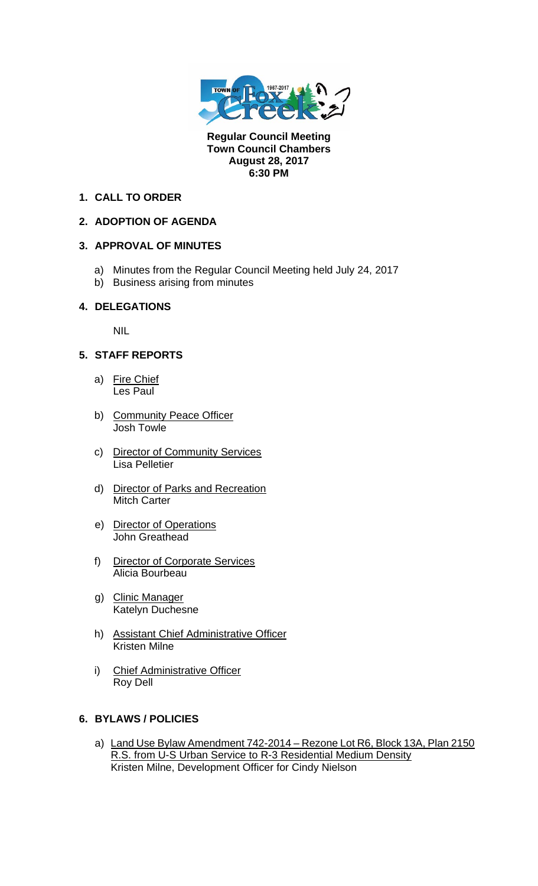

**Regular Council Meeting Town Council Chambers August 28, 2017 6:30 PM** 

#### **1. CALL TO ORDER**

# **2. ADOPTION OF AGENDA**

# **3. APPROVAL OF MINUTES**

- a) Minutes from the Regular Council Meeting held July 24, 2017
- b) Business arising from minutes

#### **4. DELEGATIONS**

NIL

# **5. STAFF REPORTS**

- a) Fire Chief Les Paul
- b) Community Peace Officer Josh Towle
- c) Director of Community Services Lisa Pelletier
- d) Director of Parks and Recreation Mitch Carter
- e) Director of Operations John Greathead
- f) Director of Corporate Services Alicia Bourbeau
- g) Clinic Manager Katelyn Duchesne
- h) Assistant Chief Administrative Officer Kristen Milne
- i) Chief Administrative Officer Roy Dell

#### **6. BYLAWS / POLICIES**

a) Land Use Bylaw Amendment 742-2014 – Rezone Lot R6, Block 13A, Plan 2150 R.S. from U-S Urban Service to R-3 Residential Medium Density Kristen Milne, Development Officer for Cindy Nielson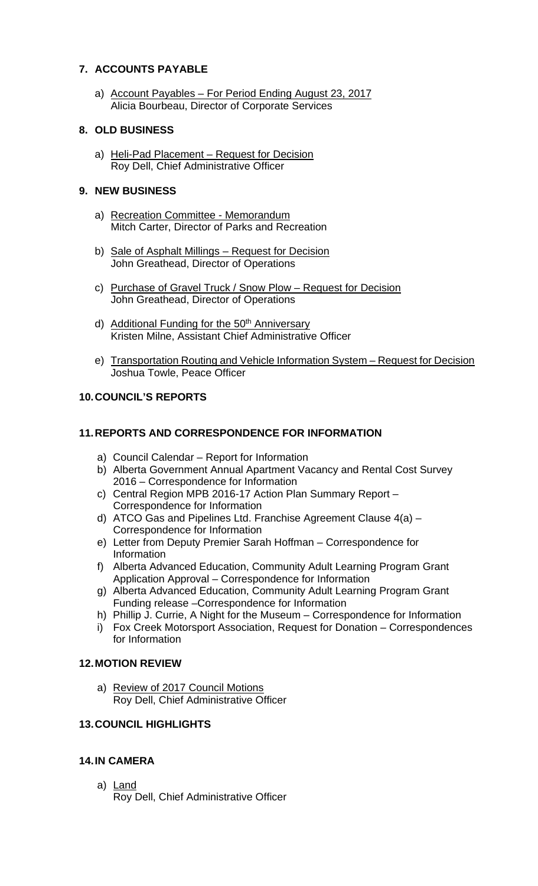# **7. ACCOUNTS PAYABLE**

a) Account Payables – For Period Ending August 23, 2017 Alicia Bourbeau, Director of Corporate Services

#### **8. OLD BUSINESS**

a) Heli-Pad Placement - Request for Decision Roy Dell, Chief Administrative Officer

# **9. NEW BUSINESS**

- a) Recreation Committee Memorandum Mitch Carter, Director of Parks and Recreation
- b) Sale of Asphalt Millings Request for Decision John Greathead, Director of Operations
- c) Purchase of Gravel Truck / Snow Plow Request for Decision John Greathead, Director of Operations
- d) Additional Funding for the 50<sup>th</sup> Anniversary Kristen Milne, Assistant Chief Administrative Officer
- e) Transportation Routing and Vehicle Information System Request for Decision Joshua Towle, Peace Officer

# **10. COUNCIL'S REPORTS**

# **11. REPORTS AND CORRESPONDENCE FOR INFORMATION**

- a) Council Calendar Report for Information
- b) Alberta Government Annual Apartment Vacancy and Rental Cost Survey 2016 – Correspondence for Information
- c) Central Region MPB 2016-17 Action Plan Summary Report Correspondence for Information
- d) ATCO Gas and Pipelines Ltd. Franchise Agreement Clause 4(a) Correspondence for Information
- e) Letter from Deputy Premier Sarah Hoffman Correspondence for Information
- f) Alberta Advanced Education, Community Adult Learning Program Grant Application Approval – Correspondence for Information
- g) Alberta Advanced Education, Community Adult Learning Program Grant Funding release –Correspondence for Information
- h) Phillip J. Currie, A Night for the Museum Correspondence for Information
- i) Fox Creek Motorsport Association, Request for Donation Correspondences for Information

#### **12. MOTION REVIEW**

a) Review of 2017 Council Motions Roy Dell, Chief Administrative Officer

#### **13. COUNCIL HIGHLIGHTS**

# **14. IN CAMERA**

a) Land Roy Dell, Chief Administrative Officer